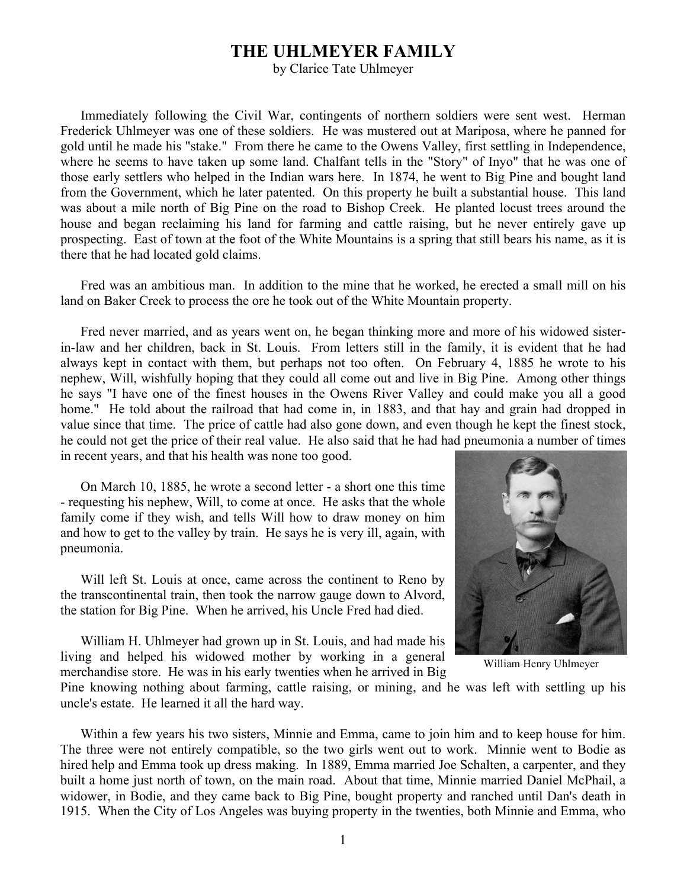## **THE UHLMEYER FAMILY**

by Clarice Tate Uhlmeyer

Immediately following the Civil War, contingents of northern soldiers were sent west. Herman Frederick Uhlmeyer was one of these soldiers. He was mustered out at Mariposa, where he panned for gold until he made his "stake." From there he came to the Owens Valley, first settling in Independence, where he seems to have taken up some land. Chalfant tells in the "Story" of Inyo" that he was one of those early settlers who helped in the Indian wars here. In 1874, he went to Big Pine and bought land from the Government, which he later patented. On this property he built a substantial house. This land was about a mile north of Big Pine on the road to Bishop Creek. He planted locust trees around the house and began reclaiming his land for farming and cattle raising, but he never entirely gave up prospecting. East of town at the foot of the White Mountains is a spring that still bears his name, as it is there that he had located gold claims.

Fred was an ambitious man. In addition to the mine that he worked, he erected a small mill on his land on Baker Creek to process the ore he took out of the White Mountain property.

Fred never married, and as years went on, he began thinking more and more of his widowed sisterin-law and her children, back in St. Louis. From letters still in the family, it is evident that he had always kept in contact with them, but perhaps not too often. On February 4, 1885 he wrote to his nephew, Will, wishfully hoping that they could all come out and live in Big Pine. Among other things he says "I have one of the finest houses in the Owens River Valley and could make you all a good home." He told about the railroad that had come in, in 1883, and that hay and grain had dropped in value since that time. The price of cattle had also gone down, and even though he kept the finest stock, he could not get the price of their real value. He also said that he had had pneumonia a number of times in recent years, and that his health was none too good.

On March 10, 1885, he wrote a second letter - a short one this time - requesting his nephew, Will, to come at once. He asks that the whole family come if they wish, and tells Will how to draw money on him and how to get to the valley by train. He says he is very ill, again, with pneumonia.

Will left St. Louis at once, came across the continent to Reno by the transcontinental train, then took the narrow gauge down to Alvord, the station for Big Pine. When he arrived, his Uncle Fred had died.

William H. Uhlmeyer had grown up in St. Louis, and had made his living and helped his widowed mother by working in a general merchandise store. He was in his early twenties when he arrived in Big



William Henry Uhlmeyer

Pine knowing nothing about farming, cattle raising, or mining, and he was left with settling up his uncle's estate. He learned it all the hard way.

Within a few years his two sisters, Minnie and Emma, came to join him and to keep house for him. The three were not entirely compatible, so the two girls went out to work. Minnie went to Bodie as hired help and Emma took up dress making. In 1889, Emma married Joe Schalten, a carpenter, and they built a home just north of town, on the main road. About that time, Minnie married Daniel McPhail, a widower, in Bodie, and they came back to Big Pine, bought property and ranched until Dan's death in 1915. When the City of Los Angeles was buying property in the twenties, both Minnie and Emma, who